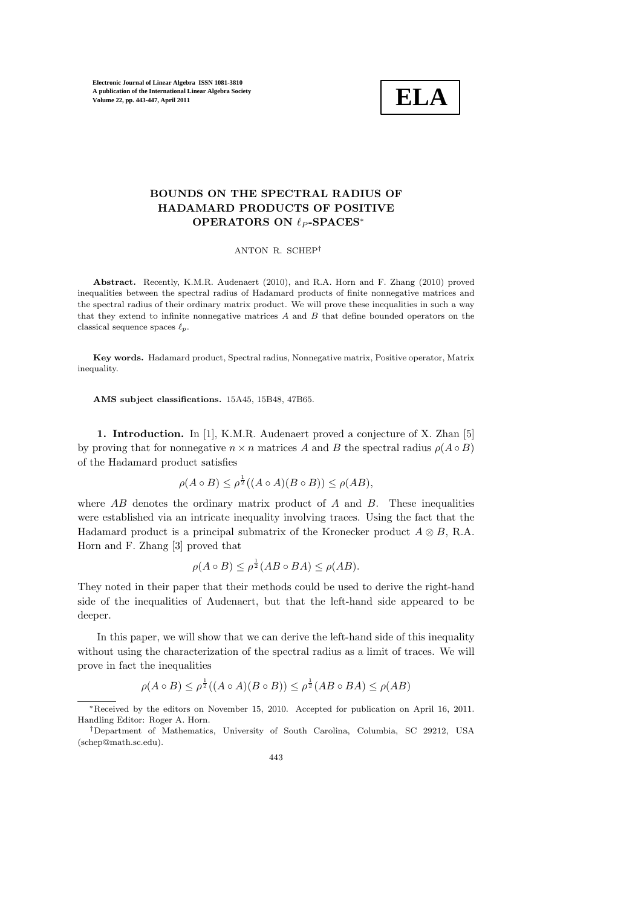

## BOUNDS ON THE SPECTRAL RADIUS OF HADAMARD PRODUCTS OF POSITIVE OPERATORS ON  $ℓ_P$ -SPACES<sup>\*</sup>

ANTON R. SCHEP†

Abstract. Recently, K.M.R. Audenaert (2010), and R.A. Horn and F. Zhang (2010) proved inequalities between the spectral radius of Hadamard products of finite nonnegative matrices and the spectral radius of their ordinary matrix product. We will prove these inequalities in such a way that they extend to infinite nonnegative matrices A and B that define bounded operators on the classical sequence spaces  $\ell_n$ .

Key words. Hadamard product, Spectral radius, Nonnegative matrix, Positive operator, Matrix inequality.

AMS subject classifications. 15A45, 15B48, 47B65.

1. Introduction. In [1], K.M.R. Audenaert proved a conjecture of X. Zhan [5] by proving that for nonnegative  $n \times n$  matrices A and B the spectral radius  $\rho(A \circ B)$ of the Hadamard product satisfies

$$
\rho(A \circ B) \le \rho^{\frac{1}{2}}((A \circ A)(B \circ B)) \le \rho(AB),
$$

where  $AB$  denotes the ordinary matrix product of A and B. These inequalities were established via an intricate inequality involving traces. Using the fact that the Hadamard product is a principal submatrix of the Kronecker product  $A \otimes B$ , R.A. Horn and F. Zhang [3] proved that

$$
\rho(A \circ B) \le \rho^{\frac{1}{2}}(AB \circ BA) \le \rho(AB).
$$

They noted in their paper that their methods could be used to derive the right-hand side of the inequalities of Audenaert, but that the left-hand side appeared to be deeper.

In this paper, we will show that we can derive the left-hand side of this inequality without using the characterization of the spectral radius as a limit of traces. We will prove in fact the inequalities

$$
\rho(A\circ B)\leq \rho ^{\frac{1}{2}}((A\circ A)(B\circ B))\leq \rho ^{\frac{1}{2}}(AB\circ BA)\leq \rho (AB)
$$

<sup>∗</sup>Received by the editors on November 15, 2010. Accepted for publication on April 16, 2011. Handling Editor: Roger A. Horn.

<sup>†</sup>Department of Mathematics, University of South Carolina, Columbia, SC 29212, USA (schep@math.sc.edu).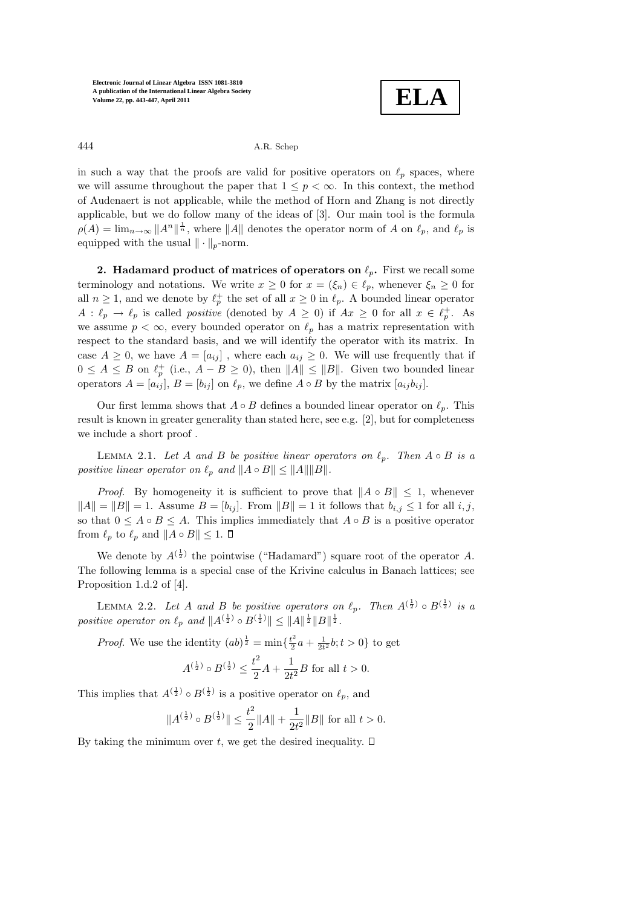

444 A.R. Schep

in such a way that the proofs are valid for positive operators on  $\ell_p$  spaces, where we will assume throughout the paper that  $1 \leq p \leq \infty$ . In this context, the method of Audenaert is not applicable, while the method of Horn and Zhang is not directly applicable, but we do follow many of the ideas of [3]. Our main tool is the formula  $\rho(A) = \lim_{n \to \infty} ||A^n||^{\frac{1}{n}}$ , where  $||A||$  denotes the operator norm of A on  $\ell_p$ , and  $\ell_p$  is equipped with the usual  $\|\cdot\|_p$ -norm.

2. Hadamard product of matrices of operators on  $\ell_p$ . First we recall some terminology and notations. We write  $x \geq 0$  for  $x = (\xi_n) \in \ell_p$ , whenever  $\xi_n \geq 0$  for all  $n \geq 1$ , and we denote by  $\ell_p^+$  the set of all  $x \geq 0$  in  $\ell_p$ . A bounded linear operator  $A: \ell_p \to \ell_p$  is called *positive* (denoted by  $A \geq 0$ ) if  $Ax \geq 0$  for all  $x \in \ell_p^+$ . As we assume  $p < \infty$ , every bounded operator on  $\ell_p$  has a matrix representation with respect to the standard basis, and we will identify the operator with its matrix. In case  $A \geq 0$ , we have  $A = [a_{ij}]$ , where each  $a_{ij} \geq 0$ . We will use frequently that if  $0 \leq A \leq B$  on  $\ell_p^+$  (i.e.,  $A - B \geq 0$ ), then  $||A|| \leq ||B||$ . Given two bounded linear operators  $A = [a_{ij}], B = [b_{ij}]$  on  $\ell_p$ , we define  $A \circ B$  by the matrix  $[a_{ij}b_{ij}]$ .

Our first lemma shows that  $A \circ B$  defines a bounded linear operator on  $\ell_p$ . This result is known in greater generality than stated here, see e.g. [2], but for completeness we include a short proof .

LEMMA 2.1. Let A and B be positive linear operators on  $\ell_p$ . Then  $A \circ B$  is a positive linear operator on  $\ell_p$  and  $||A \circ B|| \leq ||A|| ||B||$ .

*Proof.* By homogeneity it is sufficient to prove that  $||A \circ B|| < 1$ , whenever  $||A|| = ||B|| = 1$ . Assume  $B = [b_{ij}]$ . From  $||B|| = 1$  it follows that  $b_{i,j} \leq 1$  for all  $i, j$ , so that  $0 \leq A \circ B \leq A$ . This implies immediately that  $A \circ B$  is a positive operator from  $\ell_p$  to  $\ell_p$  and  $||A \circ B|| \leq 1$ .  $\Box$ 

We denote by  $A^{(\frac{1}{2})}$  the pointwise ("Hadamard") square root of the operator A. The following lemma is a special case of the Krivine calculus in Banach lattices; see Proposition 1.d.2 of [4].

LEMMA 2.2. Let A and B be positive operators on  $\ell_p$ . Then  $A^{(\frac{1}{2})} \circ B^{(\frac{1}{2})}$  is a positive operator on  $\ell_p$  and  $||A^{(\frac{1}{2})} \circ B^{(\frac{1}{2})}|| \leq ||A||^{\frac{1}{2}}||B||^{\frac{1}{2}}$ .

*Proof.* We use the identity  $(ab)^{\frac{1}{2}} = \min\{\frac{t^2}{2}\}$  $\frac{t^2}{2}a + \frac{1}{2t^2}b; t > 0$ } to get

$$
A^{(\frac{1}{2})} \circ B^{(\frac{1}{2})} \le \frac{t^2}{2}A + \frac{1}{2t^2}B
$$
 for all  $t > 0$ .

This implies that  $A^{(\frac{1}{2})} \circ B^{(\frac{1}{2})}$  is a positive operator on  $\ell_p$ , and

$$
||A^{(\frac{1}{2})} \circ B^{(\frac{1}{2})}|| \le \frac{t^2}{2} ||A|| + \frac{1}{2t^2} ||B||
$$
 for all  $t > 0$ .

By taking the minimum over t, we get the desired inequality.  $\square$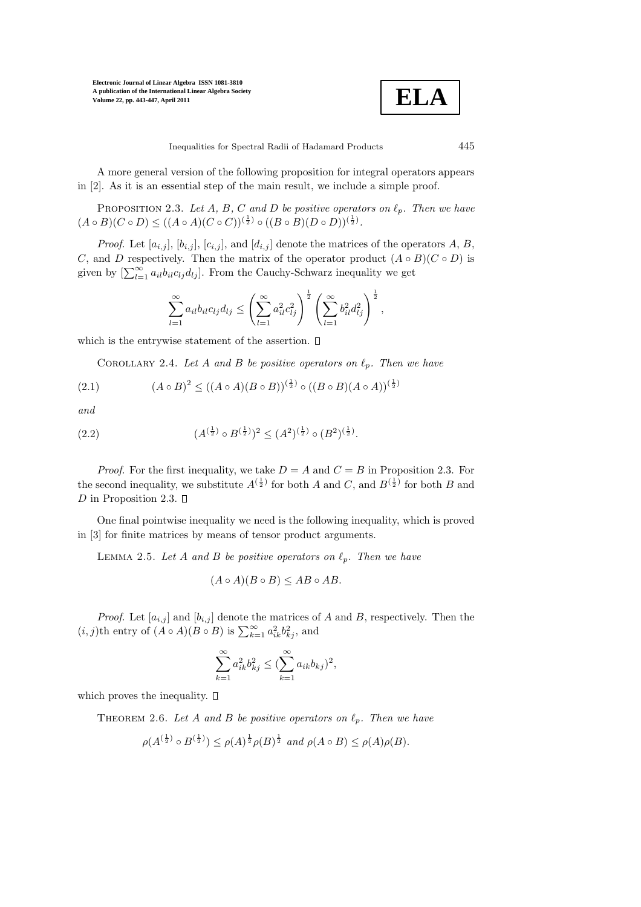

Inequalities for Spectral Radii of Hadamard Products 445

A more general version of the following proposition for integral operators appears in [2]. As it is an essential step of the main result, we include a simple proof.

PROPOSITION 2.3. Let A, B, C and D be positive operators on  $\ell_p$ . Then we have  $(A \circ B)(C \circ D) \le ((A \circ A)(C \circ C))^{(\frac{1}{2})} \circ ((B \circ B)(D \circ D))^{(\frac{1}{2})}.$ 

*Proof.* Let  $[a_{i,j}], [b_{i,j}], [c_{i,j}],$  and  $[d_{i,j}]$  denote the matrices of the operators A, B, C, and D respectively. Then the matrix of the operator product  $(A \circ B)(C \circ D)$  is given by  $[\sum_{l=1}^{\infty} a_{il}b_{il}c_{lj}d_{lj}]$ . From the Cauchy-Schwarz inequality we get

$$
\sum_{l=1}^{\infty} a_{il} b_{il} c_{lj} d_{lj} \leq \left( \sum_{l=1}^{\infty} a_{il}^2 c_{lj}^2 \right)^{\frac{1}{2}} \left( \sum_{l=1}^{\infty} b_{il}^2 d_{lj}^2 \right)^{\frac{1}{2}},
$$

which is the entrywise statement of the assertion.  $\square$ 

COROLLARY 2.4. Let A and B be positive operators on  $\ell_p$ . Then we have

(2.1) 
$$
(A \circ B)^2 \le ((A \circ A)(B \circ B))^{(\frac{1}{2})} \circ ((B \circ B)(A \circ A))^{(\frac{1}{2})}
$$

and

(2.2) 
$$
(A^{(\frac{1}{2})} \circ B^{(\frac{1}{2})})^2 \leq (A^2)^{(\frac{1}{2})} \circ (B^2)^{(\frac{1}{2})}.
$$

*Proof.* For the first inequality, we take  $D = A$  and  $C = B$  in Proposition 2.3. For the second inequality, we substitute  $A^{(\frac{1}{2})}$  for both A and C, and  $B^{(\frac{1}{2})}$  for both B and D in Proposition 2.3.  $\Box$ 

One final pointwise inequality we need is the following inequality, which is proved in [3] for finite matrices by means of tensor product arguments.

LEMMA 2.5. Let A and B be positive operators on  $\ell_p$ . Then we have

$$
(A \circ A)(B \circ B) \le AB \circ AB.
$$

*Proof.* Let  $[a_{i,j}]$  and  $[b_{i,j}]$  denote the matrices of A and B, respectively. Then the  $(i, j)$ th entry of  $(A \circ A)(B \circ B)$  is  $\sum_{k=1}^{\infty} a_{ik}^2 b_{kj}^2$ , and

$$
\sum_{k=1}^{\infty} a_{ik}^2 b_{kj}^2 \le (\sum_{k=1}^{\infty} a_{ik} b_{kj})^2,
$$

which proves the inequality.  $\square$ 

THEOREM 2.6. Let A and B be positive operators on  $\ell_p$ . Then we have

$$
\rho(A^{(\frac{1}{2})} \circ B^{(\frac{1}{2})}) \le \rho(A)^{\frac{1}{2}} \rho(B)^{\frac{1}{2}} \text{ and } \rho(A \circ B) \le \rho(A)\rho(B).
$$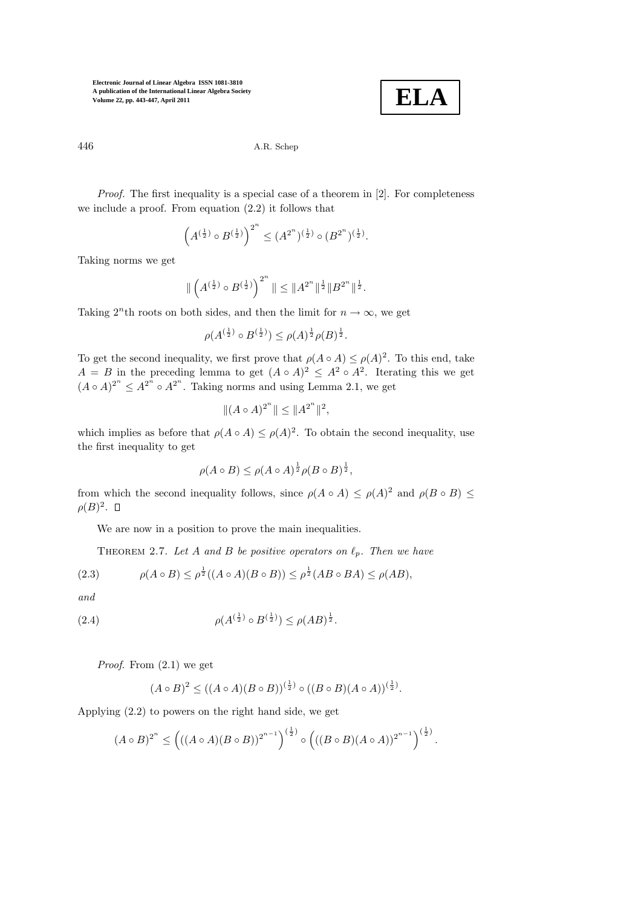

446 A.R. Schep

Proof. The first inequality is a special case of a theorem in [2]. For completeness we include a proof. From equation (2.2) it follows that

$$
\left(A^{(\frac{1}{2})} \circ B^{(\frac{1}{2})}\right)^{2^n} \leq (A^{2^n})^{(\frac{1}{2})} \circ (B^{2^n})^{(\frac{1}{2})}.
$$

Taking norms we get

$$
\|\left(A^{(\frac{1}{2})} \circ B^{(\frac{1}{2})}\right)^{2^n}\| \leq \|A^{2^n}\|^{\frac{1}{2}} \|B^{2^n}\|^{\frac{1}{2}}.
$$

Taking  $2<sup>n</sup>$ th roots on both sides, and then the limit for  $n \to \infty$ , we get

$$
\rho(A^{(\frac{1}{2})} \circ B^{(\frac{1}{2})}) \le \rho(A)^{\frac{1}{2}}\rho(B)^{\frac{1}{2}}.
$$

To get the second inequality, we first prove that  $\rho(A \circ A) \leq \rho(A)^2$ . To this end, take  $A = B$  in the preceding lemma to get  $(A \circ A)^2 \leq A^2 \circ A^2$ . Iterating this we get  $(A \circ A)^{2^n} \leq A^{2^n} \circ A^{2^n}$ . Taking norms and using Lemma 2.1, we get

$$
|| (A \circ A)^{2^n} || \leq ||A^{2^n}||^2,
$$

which implies as before that  $\rho(A \circ A) \leq \rho(A)^2$ . To obtain the second inequality, use the first inequality to get

$$
\rho(A \circ B) \le \rho(A \circ A)^{\frac{1}{2}} \rho(B \circ B)^{\frac{1}{2}},
$$

from which the second inequality follows, since  $\rho(A \circ A) \leq \rho(A)^2$  and  $\rho(B \circ B) \leq$  $\rho(B)^2$ .

We are now in a position to prove the main inequalities.

THEOREM 2.7. Let A and B be positive operators on  $\ell_p$ . Then we have

(2.3) 
$$
\rho(A \circ B) \le \rho^{\frac{1}{2}}((A \circ A)(B \circ B)) \le \rho^{\frac{1}{2}}(AB \circ BA) \le \rho(AB),
$$

and

(2.4) 
$$
\rho(A^{(\frac{1}{2})} \circ B^{(\frac{1}{2})}) \le \rho(AB)^{\frac{1}{2}}.
$$

*Proof.* From  $(2.1)$  we get

$$
(A \circ B)^2 \le ((A \circ A)(B \circ B))^{(\frac{1}{2})} \circ ((B \circ B)(A \circ A))^{(\frac{1}{2})}.
$$

Applying (2.2) to powers on the right hand side, we get

$$
(A \circ B)^{2^n} \le \left(((A \circ A)(B \circ B))^{2^{n-1}}\right)^{(\frac{1}{2})} \circ \left(((B \circ B)(A \circ A))^{2^{n-1}}\right)^{(\frac{1}{2})}.
$$